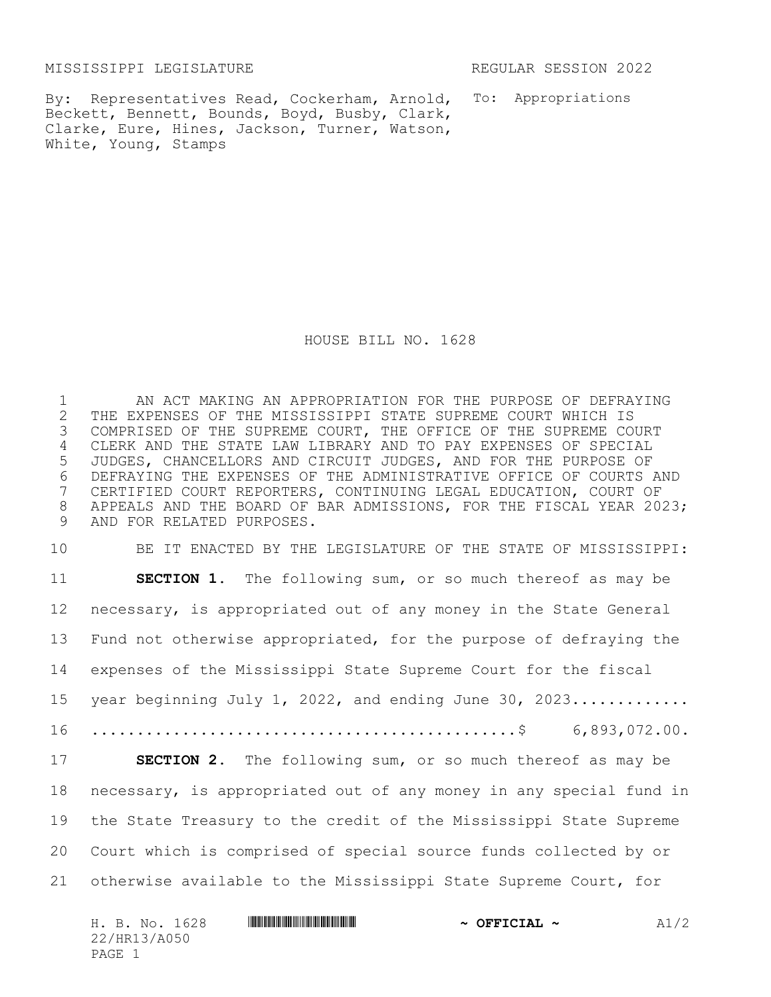MISSISSIPPI LEGISLATURE REGULAR SESSION 2022

By: Representatives Read, Cockerham, Arnold, To: Appropriations Beckett, Bennett, Bounds, Boyd, Busby, Clark, Clarke, Eure, Hines, Jackson, Turner, Watson, White, Young, Stamps

HOUSE BILL NO. 1628

1 AN ACT MAKING AN APPROPRIATION FOR THE PURPOSE OF DEFRAYING 2 THE EXPENSES OF THE MISSISSIPPI STATE SUPREME COURT WHICH IS<br>3 COMPRISED OF THE SUPREME COURT, THE OFFICE OF THE SUPREME CO COMPRISED OF THE SUPREME COURT, THE OFFICE OF THE SUPREME COURT 4 CLERK AND THE STATE LAW LIBRARY AND TO PAY EXPENSES OF SPECIAL 5 JUDGES, CHANCELLORS AND CIRCUIT JUDGES, AND FOR THE PURPOSE OF 6 DEFRAYING THE EXPENSES OF THE ADMINISTRATIVE OFFICE OF COURTS AND<br>7 CERTIFIED COURT REPORTERS, CONTINUING LEGAL EDUCATION, COURT OF CERTIFIED COURT REPORTERS, CONTINUING LEGAL EDUCATION, COURT OF 8 APPEALS AND THE BOARD OF BAR ADMISSIONS, FOR THE FISCAL YEAR 2023; 9 AND FOR RELATED PURPOSES.

 BE IT ENACTED BY THE LEGISLATURE OF THE STATE OF MISSISSIPPI: **SECTION 1.** The following sum, or so much thereof as may be necessary, is appropriated out of any money in the State General Fund not otherwise appropriated, for the purpose of defraying the expenses of the Mississippi State Supreme Court for the fiscal 15 year beginning July 1, 2022, and ending June 30, 2023............. ...............................................\$ 6,893,072.00. **SECTION 2.** The following sum, or so much thereof as may be necessary, is appropriated out of any money in any special fund in the State Treasury to the credit of the Mississippi State Supreme Court which is comprised of special source funds collected by or otherwise available to the Mississippi State Supreme Court, for

| H. B. No. 1628 | $\sim$ OFFICIAL $\sim$ | A1/2 |
|----------------|------------------------|------|
| 22/HR13/A050   |                        |      |
| PAGE 1         |                        |      |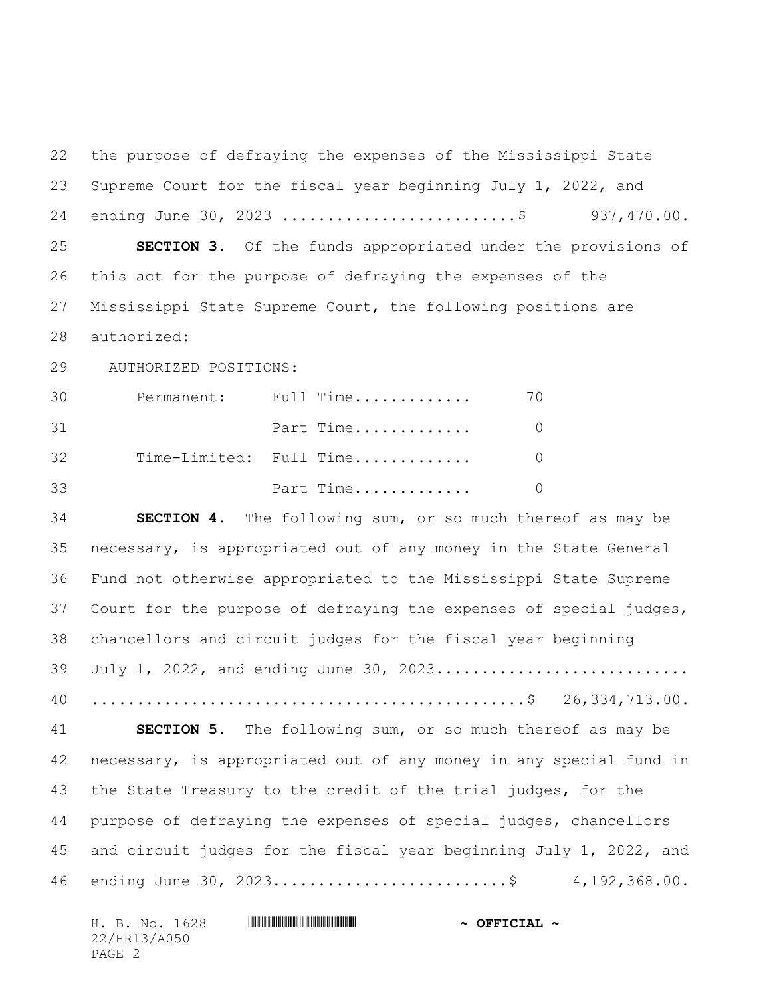the purpose of defraying the expenses of the Mississippi State Supreme Court for the fiscal year beginning July 1, 2022, and 24 ending June 30, 2023 .............................\$ 937,470.00. **SECTION 3.** Of the funds appropriated under the provisions of this act for the purpose of defraying the expenses of the Mississippi State Supreme Court, the following positions are authorized: 29 AUTHORIZED POSITIONS: Permanent: Full Time............. 70 **Part Time.............** 0 Time-Limited: Full Time............. 0 Part Time............. 0 **SECTION 4.** The following sum, or so much thereof as may be necessary, is appropriated out of any money in the State General Fund not otherwise appropriated to the Mississippi State Supreme Court for the purpose of defraying the expenses of special judges, chancellors and circuit judges for the fiscal year beginning 39 July 1, 2022, and ending June 30, 2023............................ ................................................\$ 26,334,713.00. **SECTION 5.** The following sum, or so much thereof as may be necessary, is appropriated out of any money in any special fund in the State Treasury to the credit of the trial judges, for the purpose of defraying the expenses of special judges, chancellors and circuit judges for the fiscal year beginning July 1, 2022, and ending June 30, 2023..........................\$ 4,192,368.00.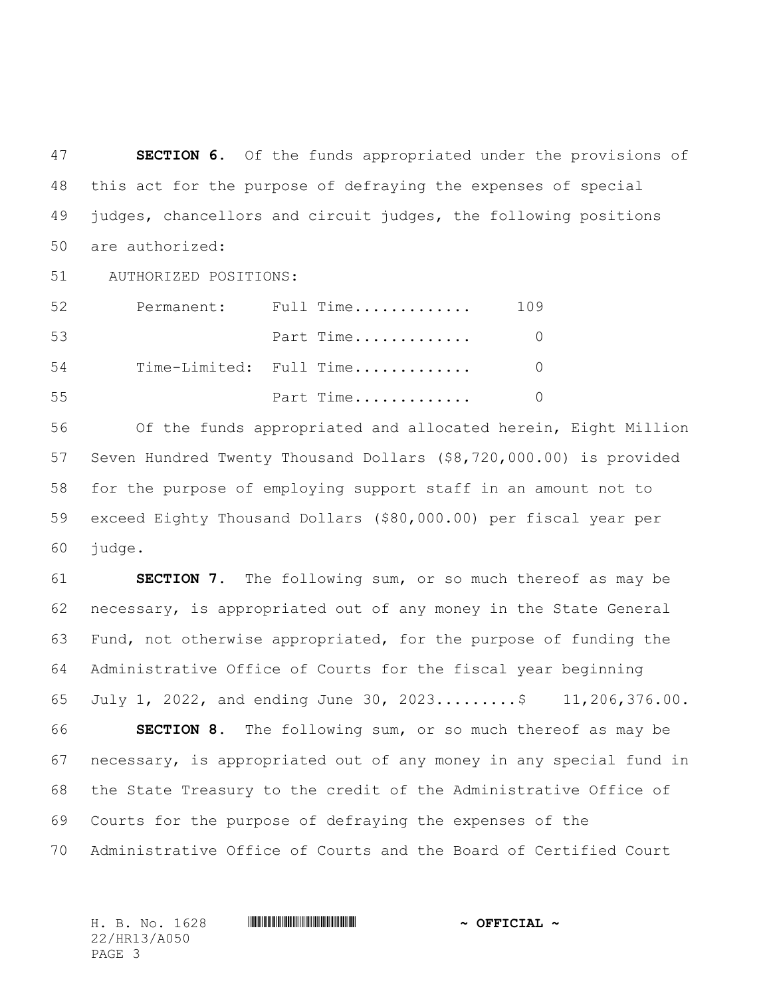**SECTION 6.** Of the funds appropriated under the provisions of this act for the purpose of defraying the expenses of special judges, chancellors and circuit judges, the following positions are authorized:

51 AUTHORIZED POSITIONS:

| 52 |  | Permanent: Full Time    | 109 |
|----|--|-------------------------|-----|
| 53 |  | Part Time               |     |
| 54 |  | Time-Limited: Full Time |     |
| 55 |  | Part Time               |     |

 Of the funds appropriated and allocated herein, Eight Million Seven Hundred Twenty Thousand Dollars (\$8,720,000.00) is provided for the purpose of employing support staff in an amount not to exceed Eighty Thousand Dollars (\$80,000.00) per fiscal year per judge.

 **SECTION 7.** The following sum, or so much thereof as may be necessary, is appropriated out of any money in the State General Fund, not otherwise appropriated, for the purpose of funding the Administrative Office of Courts for the fiscal year beginning July 1, 2022, and ending June 30, 2023.........\$ 11,206,376.00. **SECTION 8.** The following sum, or so much thereof as may be necessary, is appropriated out of any money in any special fund in the State Treasury to the credit of the Administrative Office of Courts for the purpose of defraying the expenses of the Administrative Office of Courts and the Board of Certified Court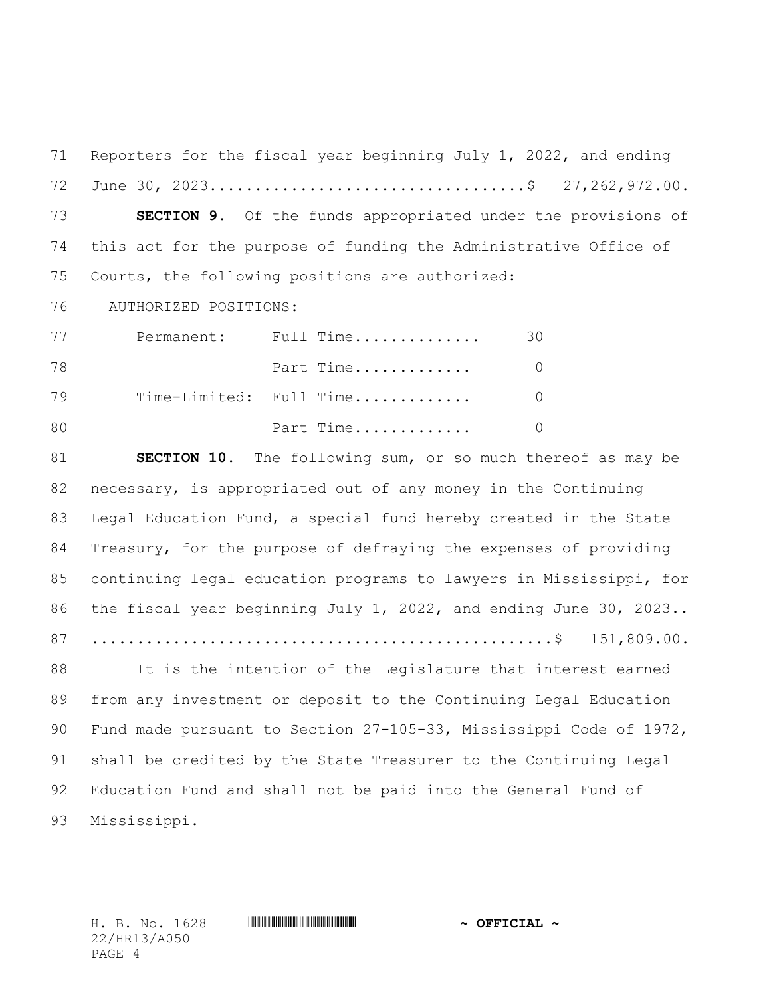Reporters for the fiscal year beginning July 1, 2022, and ending June 30, 2023...................................\$ 27,262,972.00. **SECTION 9.** Of the funds appropriated under the provisions of this act for the purpose of funding the Administrative Office of Courts, the following positions are authorized: 76 AUTHORIZED POSITIONS:

| 77 |  | Permanent: Full Time    | 30 |
|----|--|-------------------------|----|
| 78 |  | Part Time               |    |
| 79 |  | Time-Limited: Full Time |    |
| 80 |  | Part Time               |    |

 **SECTION 10.** The following sum, or so much thereof as may be necessary, is appropriated out of any money in the Continuing Legal Education Fund, a special fund hereby created in the State Treasury, for the purpose of defraying the expenses of providing continuing legal education programs to lawyers in Mississippi, for the fiscal year beginning July 1, 2022, and ending June 30, 2023.. ...................................................\$ 151,809.00.

88 It is the intention of the Legislature that interest earned from any investment or deposit to the Continuing Legal Education Fund made pursuant to Section 27-105-33, Mississippi Code of 1972, shall be credited by the State Treasurer to the Continuing Legal Education Fund and shall not be paid into the General Fund of Mississippi.

22/HR13/A050 PAGE 4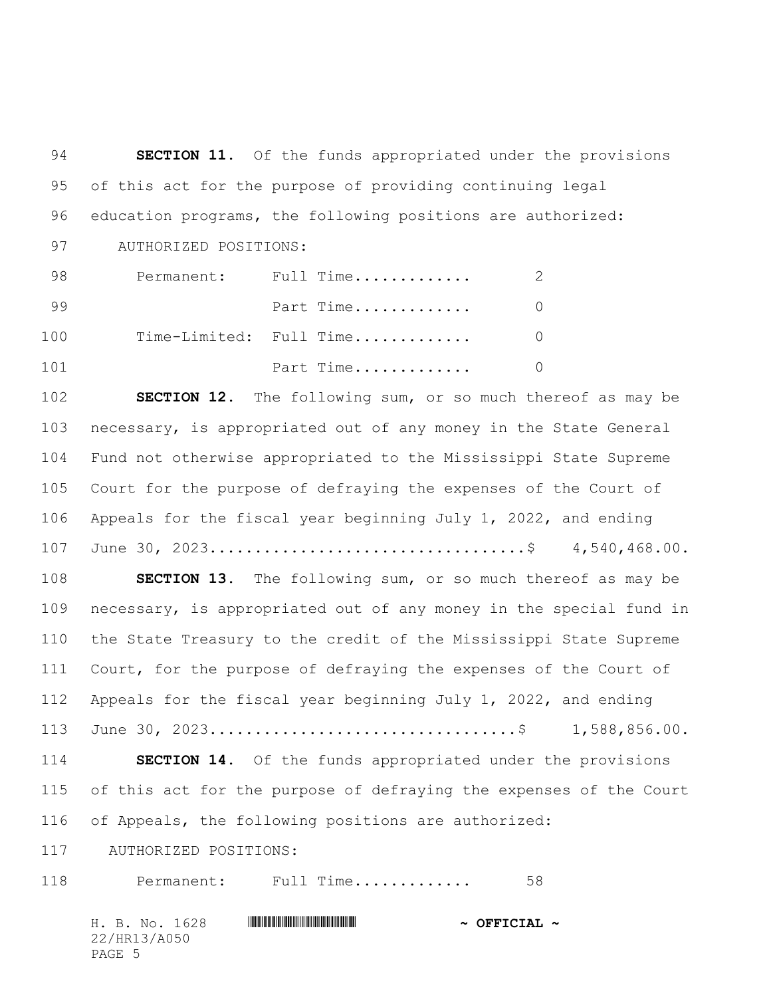**SECTION 11.** Of the funds appropriated under the provisions of this act for the purpose of providing continuing legal education programs, the following positions are authorized: 97 AUTHORIZED POSITIONS: Permanent: Full Time............. 2 **Part Time..............** 0 Time-Limited: Full Time............. 0 **Part Time.............** 0 **SECTION 12.** The following sum, or so much thereof as may be necessary, is appropriated out of any money in the State General Fund not otherwise appropriated to the Mississippi State Supreme Court for the purpose of defraying the expenses of the Court of Appeals for the fiscal year beginning July 1, 2022, and ending June 30, 2023...................................\$ 4,540,468.00. **SECTION 13.** The following sum, or so much thereof as may be necessary, is appropriated out of any money in the special fund in the State Treasury to the credit of the Mississippi State Supreme 111 Court, for the purpose of defraying the expenses of the Court of Appeals for the fiscal year beginning July 1, 2022, and ending June 30, 2023..................................\$ 1,588,856.00. **SECTION 14.** Of the funds appropriated under the provisions of this act for the purpose of defraying the expenses of the Court of Appeals, the following positions are authorized: 117 AUTHORIZED POSITIONS: 118 Permanent: Full Time.............. 58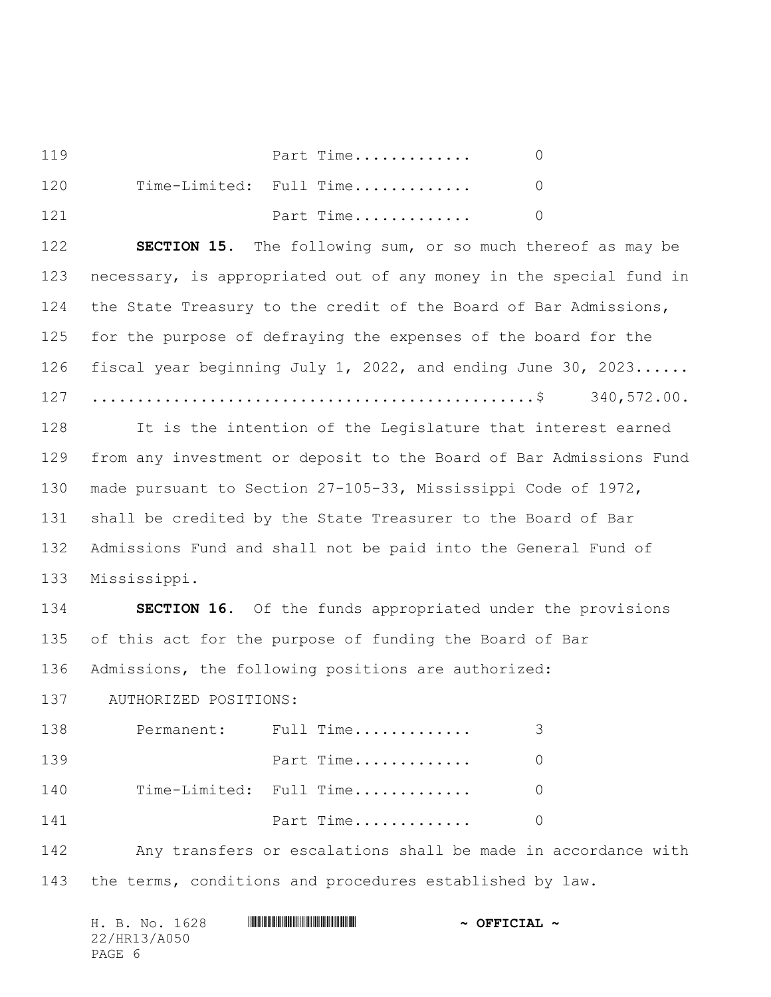| 119 | Part Time               |  |
|-----|-------------------------|--|
| 120 | Time-Limited: Full Time |  |
| 121 | Part Time               |  |

 **SECTION 15.** The following sum, or so much thereof as may be necessary, is appropriated out of any money in the special fund in the State Treasury to the credit of the Board of Bar Admissions, for the purpose of defraying the expenses of the board for the fiscal year beginning July 1, 2022, and ending June 30, 2023...... .................................................\$ 340,572.00.

 It is the intention of the Legislature that interest earned from any investment or deposit to the Board of Bar Admissions Fund made pursuant to Section 27-105-33, Mississippi Code of 1972, shall be credited by the State Treasurer to the Board of Bar Admissions Fund and shall not be paid into the General Fund of Mississippi.

 **SECTION 16.** Of the funds appropriated under the provisions of this act for the purpose of funding the Board of Bar Admissions, the following positions are authorized:

137 AUTHORIZED POSITIONS:

| 138 | Permanent: Full Time    | 3        |
|-----|-------------------------|----------|
| 139 | Part Time               | $\Omega$ |
| 140 | Time-Limited: Full Time | $\Omega$ |
| 141 | Part Time               | $\Omega$ |

 Any transfers or escalations shall be made in accordance with the terms, conditions and procedures established by law.

| H. B. No. 1628 |  | $\sim$ OFFICIAL $\sim$ |  |
|----------------|--|------------------------|--|
| 22/HR13/A050   |  |                        |  |
| PAGE 6         |  |                        |  |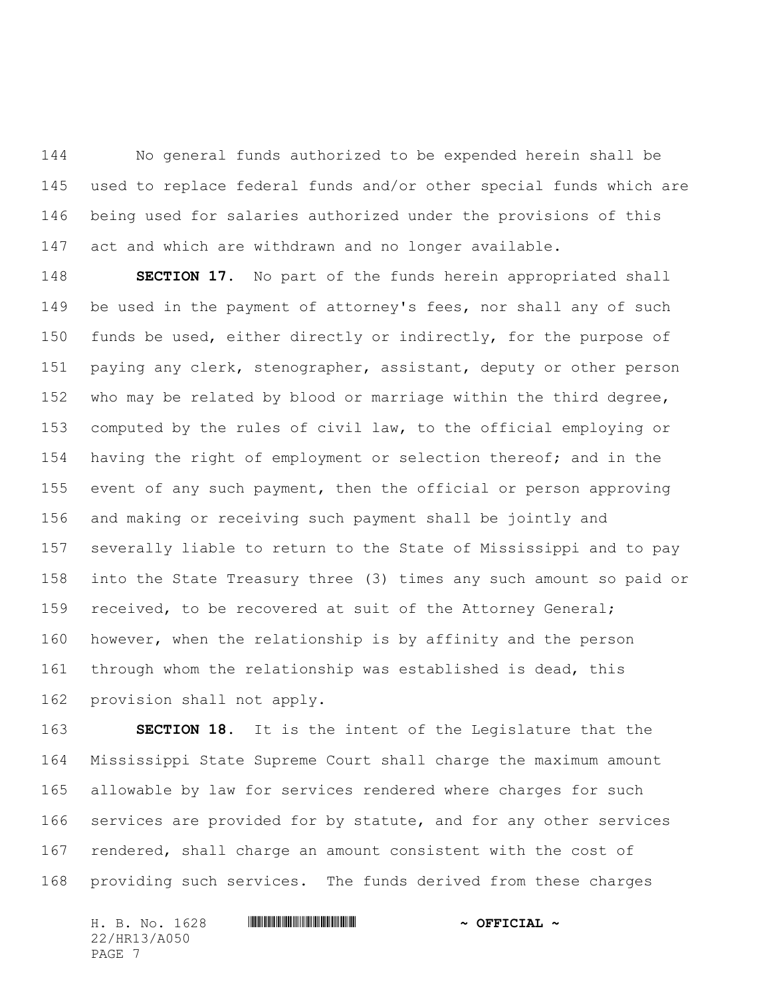No general funds authorized to be expended herein shall be used to replace federal funds and/or other special funds which are being used for salaries authorized under the provisions of this act and which are withdrawn and no longer available.

 **SECTION 17.** No part of the funds herein appropriated shall be used in the payment of attorney's fees, nor shall any of such 150 funds be used, either directly or indirectly, for the purpose of paying any clerk, stenographer, assistant, deputy or other person who may be related by blood or marriage within the third degree, computed by the rules of civil law, to the official employing or having the right of employment or selection thereof; and in the event of any such payment, then the official or person approving and making or receiving such payment shall be jointly and severally liable to return to the State of Mississippi and to pay into the State Treasury three (3) times any such amount so paid or 159 received, to be recovered at suit of the Attorney General; however, when the relationship is by affinity and the person through whom the relationship was established is dead, this provision shall not apply.

 **SECTION 18.** It is the intent of the Legislature that the Mississippi State Supreme Court shall charge the maximum amount allowable by law for services rendered where charges for such 166 services are provided for by statute, and for any other services rendered, shall charge an amount consistent with the cost of providing such services. The funds derived from these charges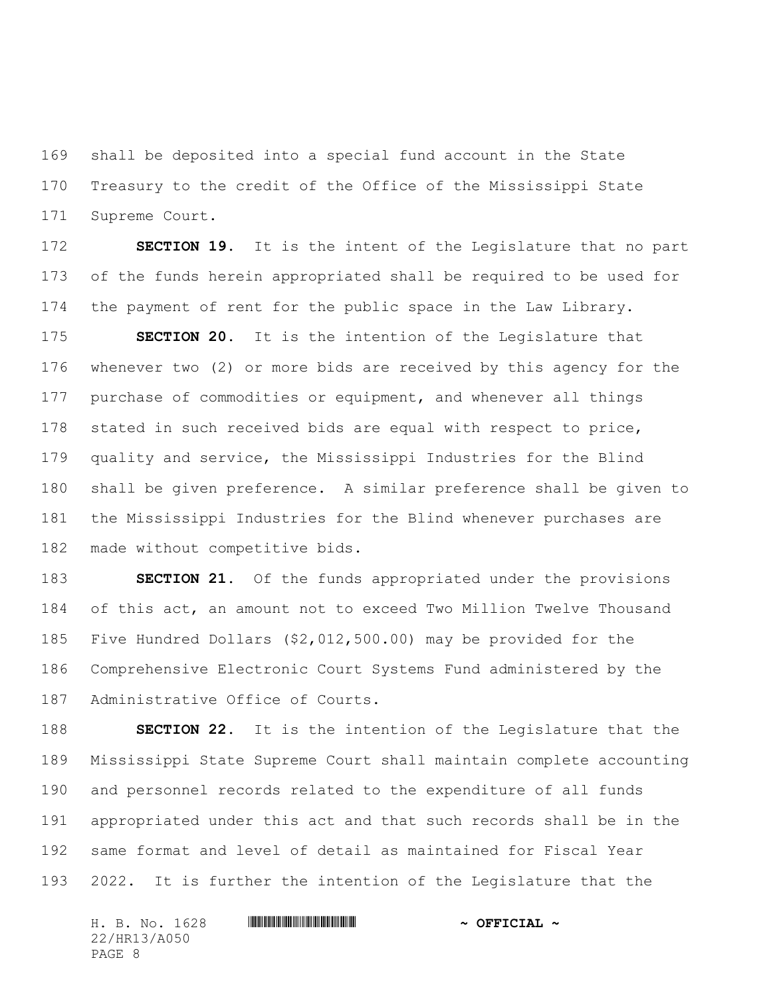shall be deposited into a special fund account in the State Treasury to the credit of the Office of the Mississippi State Supreme Court.

 **SECTION 19.** It is the intent of the Legislature that no part of the funds herein appropriated shall be required to be used for the payment of rent for the public space in the Law Library.

 **SECTION 20.** It is the intention of the Legislature that whenever two (2) or more bids are received by this agency for the purchase of commodities or equipment, and whenever all things stated in such received bids are equal with respect to price, quality and service, the Mississippi Industries for the Blind shall be given preference. A similar preference shall be given to the Mississippi Industries for the Blind whenever purchases are made without competitive bids.

 **SECTION 21.** Of the funds appropriated under the provisions of this act, an amount not to exceed Two Million Twelve Thousand Five Hundred Dollars (\$2,012,500.00) may be provided for the Comprehensive Electronic Court Systems Fund administered by the Administrative Office of Courts.

 **SECTION 22.** It is the intention of the Legislature that the Mississippi State Supreme Court shall maintain complete accounting and personnel records related to the expenditure of all funds appropriated under this act and that such records shall be in the same format and level of detail as maintained for Fiscal Year 2022. It is further the intention of the Legislature that the

| H. B. No. 1628 |  | $\sim$ OFFICIAL $\sim$ |  |
|----------------|--|------------------------|--|
| 22/HR13/A050   |  |                        |  |
| PAGE 8         |  |                        |  |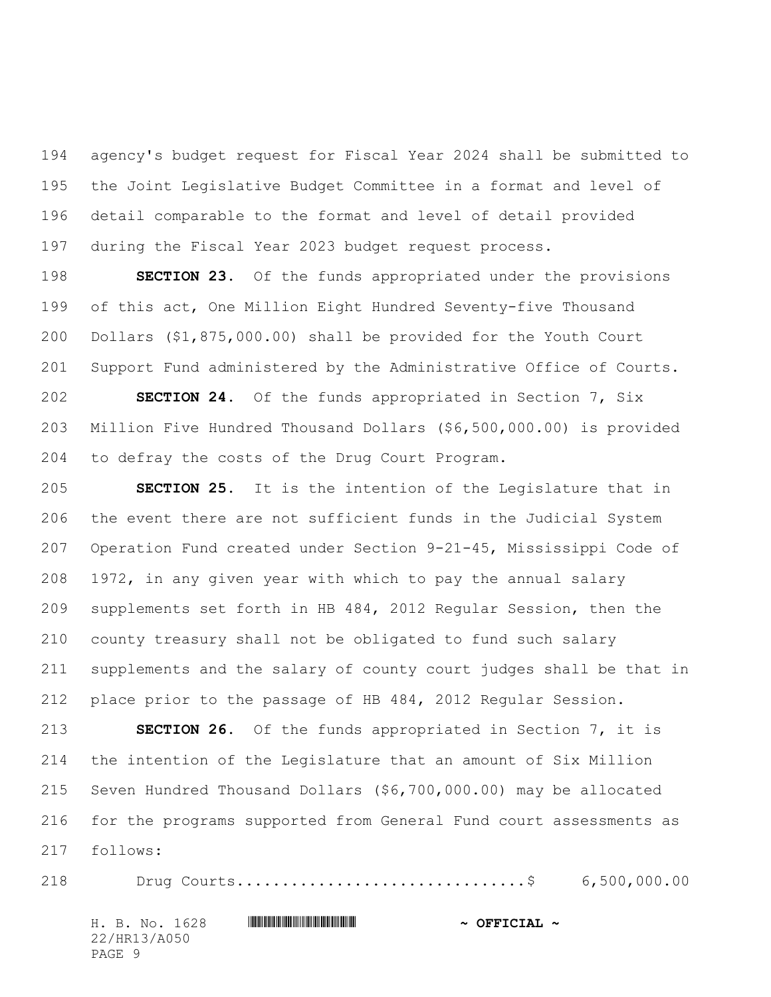agency's budget request for Fiscal Year 2024 shall be submitted to the Joint Legislative Budget Committee in a format and level of detail comparable to the format and level of detail provided during the Fiscal Year 2023 budget request process.

 **SECTION 23.** Of the funds appropriated under the provisions of this act, One Million Eight Hundred Seventy-five Thousand Dollars (\$1,875,000.00) shall be provided for the Youth Court Support Fund administered by the Administrative Office of Courts. **SECTION 24.** Of the funds appropriated in Section 7, Six Million Five Hundred Thousand Dollars (\$6,500,000.00) is provided to defray the costs of the Drug Court Program.

 **SECTION 25.** It is the intention of the Legislature that in the event there are not sufficient funds in the Judicial System Operation Fund created under Section 9-21-45, Mississippi Code of 1972, in any given year with which to pay the annual salary supplements set forth in HB 484, 2012 Regular Session, then the county treasury shall not be obligated to fund such salary supplements and the salary of county court judges shall be that in place prior to the passage of HB 484, 2012 Regular Session.

 **SECTION 26.** Of the funds appropriated in Section 7, it is the intention of the Legislature that an amount of Six Million Seven Hundred Thousand Dollars (\$6,700,000.00) may be allocated for the programs supported from General Fund court assessments as follows:

H. B. No. 1628 \*HR13/A050\* **~ OFFICIAL ~** Drug Courts................................\$ 6,500,000.00

22/HR13/A050

PAGE 9